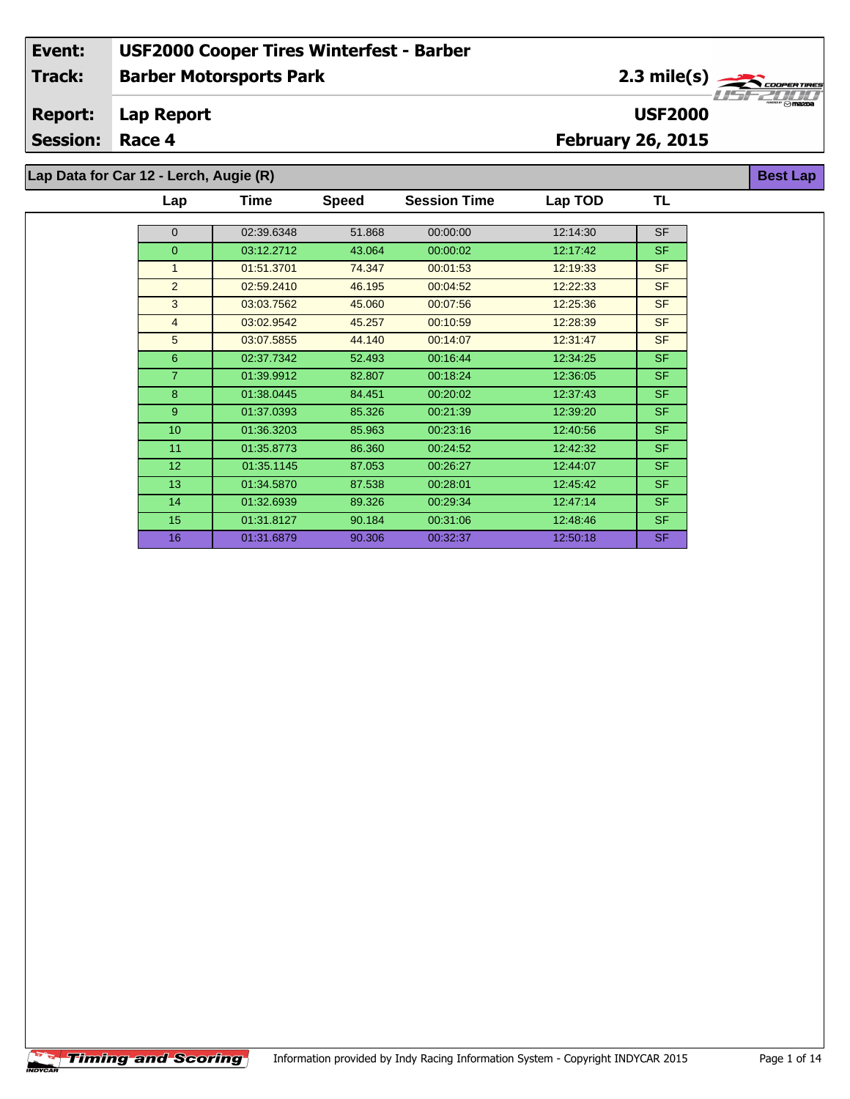2.3 mile(s)

**USF2000**

**Best Lap**

#### **Lap Report Report:**

**Session: Race 4**

## **February 26, 2015**

**Lap Data for Car 12 - Lerch, Augie (R)**

| Lap             | Time       | <b>Speed</b> | <b>Session Time</b> | Lap TOD  | TL        |
|-----------------|------------|--------------|---------------------|----------|-----------|
|                 |            |              |                     |          |           |
| $\overline{0}$  | 02:39.6348 | 51.868       | 00:00:00            | 12:14:30 | <b>SF</b> |
| $\overline{0}$  | 03:12.2712 | 43.064       | 00:00:02            | 12:17:42 | <b>SF</b> |
| $\mathbf{1}$    | 01:51.3701 | 74.347       | 00:01:53            | 12:19:33 | <b>SF</b> |
| 2               | 02:59.2410 | 46.195       | 00:04:52            | 12:22:33 | <b>SF</b> |
| 3               | 03:03.7562 | 45.060       | 00:07:56            | 12:25:36 | <b>SF</b> |
| $\overline{4}$  | 03:02.9542 | 45.257       | 00:10:59            | 12:28:39 | <b>SF</b> |
| 5               | 03:07.5855 | 44.140       | 00:14:07            | 12:31:47 | <b>SF</b> |
| 6               | 02:37.7342 | 52.493       | 00:16:44            | 12:34:25 | <b>SF</b> |
| $\overline{7}$  | 01:39.9912 | 82.807       | 00:18:24            | 12:36:05 | <b>SF</b> |
| 8               | 01:38.0445 | 84.451       | 00:20:02            | 12:37:43 | SF.       |
| 9               | 01:37.0393 | 85.326       | 00:21:39            | 12:39:20 | <b>SF</b> |
| 10              | 01:36.3203 | 85.963       | 00:23:16            | 12:40:56 | <b>SF</b> |
| 11              | 01:35.8773 | 86.360       | 00:24:52            | 12:42:32 | <b>SF</b> |
| 12 <sup>2</sup> | 01:35.1145 | 87.053       | 00:26:27            | 12:44:07 | <b>SF</b> |
| 13              | 01:34.5870 | 87.538       | 00:28:01            | 12:45:42 | <b>SF</b> |
| 14              | 01:32.6939 | 89.326       | 00:29:34            | 12:47:14 | <b>SF</b> |
| 15              | 01:31.8127 | 90.184       | 00:31:06            | 12:48:46 | <b>SF</b> |
| 16              | 01:31.6879 | 90.306       | 00:32:37            | 12:50:18 | <b>SF</b> |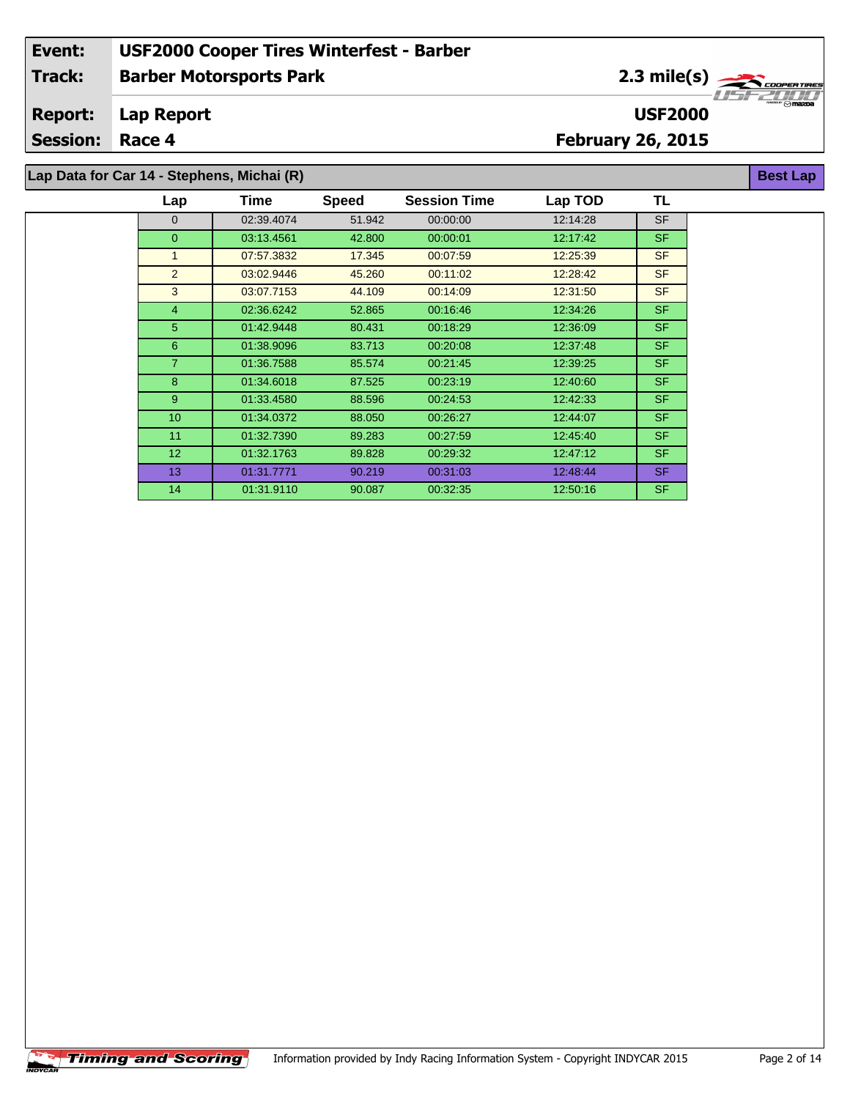2.3 mile(s)

**USF2000**

**Best Lap**

#### **Lap Report Report:**

**Session: Race 4**

 $\overline{\phantom{a}}$ 

## **February 26, 2015**

**Lap Data for Car 14 - Stephens, Michai (R)**

| Lap             | <b>Time</b> | <b>Speed</b> | <b>Session Time</b> | Lap TOD  | TL        |
|-----------------|-------------|--------------|---------------------|----------|-----------|
| $\Omega$        | 02:39.4074  | 51.942       | 00:00:00            | 12:14:28 | <b>SF</b> |
| $\overline{0}$  | 03:13.4561  | 42.800       | 00:00:01            | 12:17:42 | <b>SF</b> |
| 1               | 07:57.3832  | 17.345       | 00:07:59            | 12:25:39 | <b>SF</b> |
| 2               | 03:02.9446  | 45.260       | 00:11:02            | 12:28:42 | <b>SF</b> |
| 3               | 03:07.7153  | 44.109       | 00:14:09            | 12:31:50 | <b>SF</b> |
| $\overline{4}$  | 02:36.6242  | 52.865       | 00:16:46            | 12:34:26 | <b>SF</b> |
| 5               | 01:42.9448  | 80.431       | 00:18:29            | 12:36:09 | <b>SF</b> |
| 6               | 01:38.9096  | 83.713       | 00:20:08            | 12:37:48 | <b>SF</b> |
| $\overline{7}$  | 01:36.7588  | 85.574       | 00:21:45            | 12:39:25 | <b>SF</b> |
| 8               | 01:34.6018  | 87.525       | 00:23:19            | 12:40:60 | <b>SF</b> |
| 9               | 01:33.4580  | 88.596       | 00:24:53            | 12:42:33 | <b>SF</b> |
| 10              | 01:34.0372  | 88.050       | 00:26:27            | 12:44:07 | <b>SF</b> |
| 11              | 01:32.7390  | 89.283       | 00:27:59            | 12:45:40 | <b>SF</b> |
| 12 <sup>2</sup> | 01:32.1763  | 89.828       | 00:29:32            | 12:47:12 | <b>SF</b> |
| 13              | 01:31.7771  | 90.219       | 00:31:03            | 12:48:44 | <b>SF</b> |
| 14              | 01:31.9110  | 90.087       | 00:32:35            | 12:50:16 | <b>SF</b> |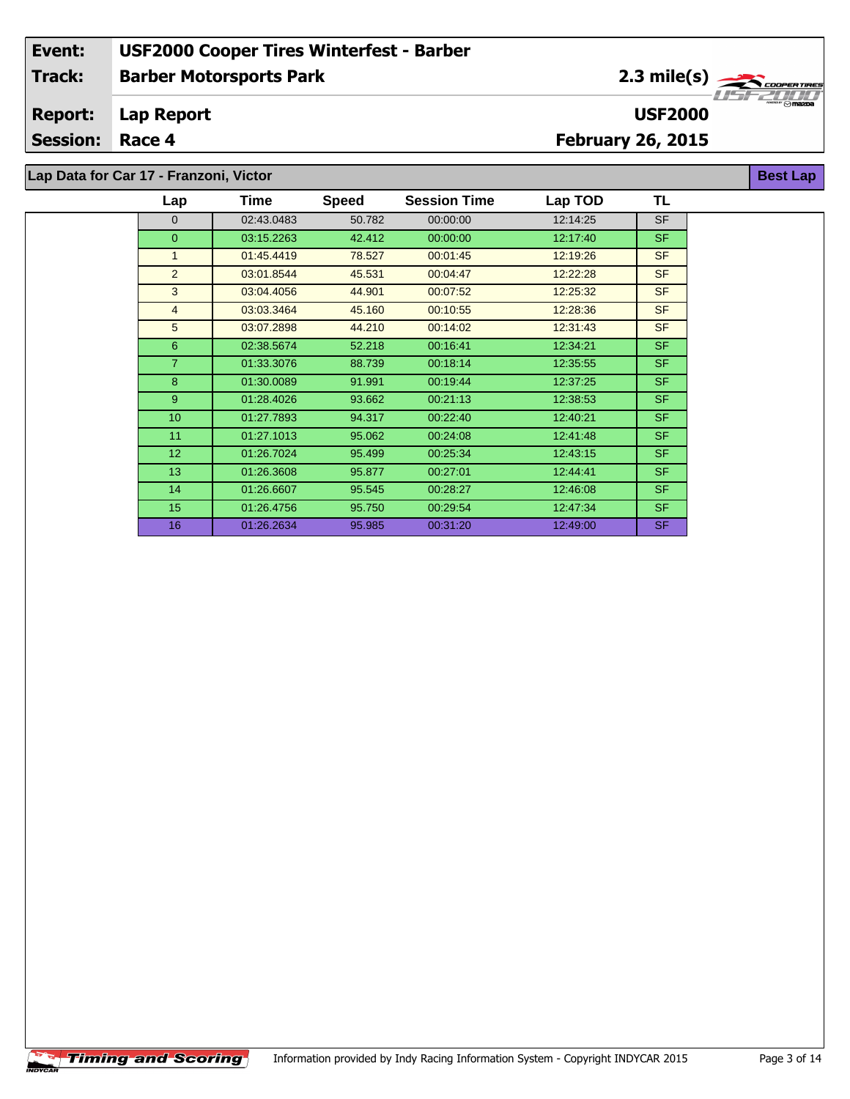2.3 mile(s)

**USF2000**

**Best Lap**

#### **Lap Report Report:**

**Session: Race 4**

## **February 26, 2015**

**Lap Data for Car 17 - Franzoni, Victor**

| Lap            | Time       | <b>Speed</b> | <b>Session Time</b> | Lap TOD  | TL        |
|----------------|------------|--------------|---------------------|----------|-----------|
| $\Omega$       | 02:43.0483 | 50.782       | 00:00:00            | 12:14:25 | <b>SF</b> |
| $\overline{0}$ | 03:15.2263 | 42.412       | 00:00:00            | 12:17:40 | <b>SF</b> |
| $\mathbf{1}$   | 01:45.4419 | 78.527       | 00:01:45            | 12:19:26 | <b>SF</b> |
| 2              | 03:01.8544 | 45.531       | 00:04:47            | 12:22:28 | <b>SF</b> |
| 3              | 03:04.4056 | 44.901       | 00:07:52            | 12:25:32 | <b>SF</b> |
| $\overline{4}$ | 03:03.3464 | 45.160       | 00:10:55            | 12:28:36 | <b>SF</b> |
| 5              | 03:07.2898 | 44.210       | 00:14:02            | 12:31:43 | <b>SF</b> |
| $6\phantom{1}$ | 02:38.5674 | 52.218       | 00:16:41            | 12:34:21 | <b>SF</b> |
| $\overline{7}$ | 01:33.3076 | 88.739       | 00:18:14            | 12:35:55 | <b>SF</b> |
| 8              | 01:30.0089 | 91.991       | 00:19:44            | 12:37:25 | <b>SF</b> |
| 9              | 01:28.4026 | 93.662       | 00:21:13            | 12:38:53 | <b>SF</b> |
| 10             | 01:27.7893 | 94.317       | 00:22:40            | 12:40:21 | <b>SF</b> |
| 11             | 01:27.1013 | 95.062       | 00:24:08            | 12:41:48 | <b>SF</b> |
| 12             | 01:26.7024 | 95.499       | 00:25:34            | 12:43:15 | <b>SF</b> |
| 13             | 01:26.3608 | 95.877       | 00:27:01            | 12:44:41 | <b>SF</b> |
| 14             | 01:26.6607 | 95.545       | 00:28:27            | 12:46:08 | <b>SF</b> |
| 15             | 01:26.4756 | 95.750       | 00:29:54            | 12:47:34 | <b>SF</b> |
| 16             | 01:26.2634 | 95.985       | 00:31:20            | 12:49:00 | <b>SF</b> |

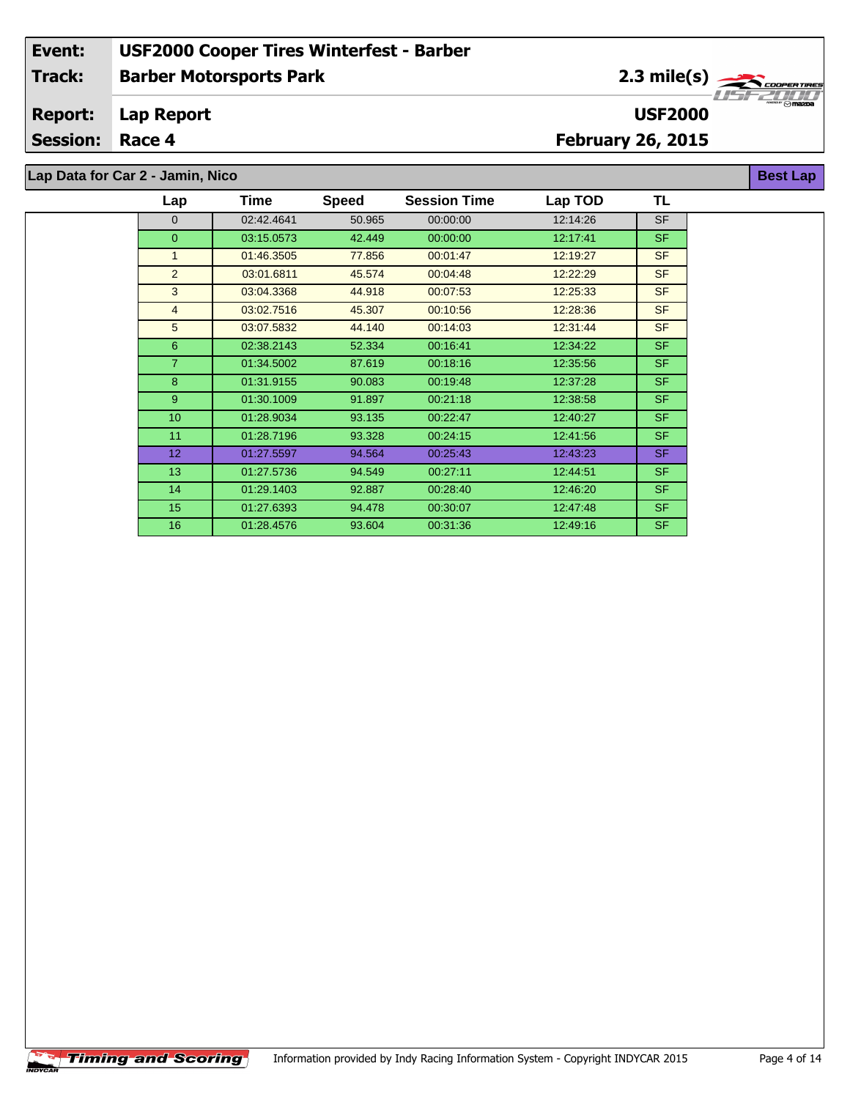2.3 mile(s)

**USF2000**

**Best Lap**

#### **Lap Report Report:**

**Session: Race 4**

## **February 26, 2015**

**Lap Data for Car 2 - Jamin, Nico**

| Lap            | Time       | <b>Speed</b> | <b>Session Time</b> | Lap TOD  | TL        |
|----------------|------------|--------------|---------------------|----------|-----------|
| $\mathbf{0}$   | 02:42.4641 | 50.965       | 00:00:00            | 12:14:26 | <b>SF</b> |
| $\overline{0}$ | 03:15.0573 | 42.449       | 00:00:00            | 12.17:41 | <b>SF</b> |
| $\mathbf{1}$   | 01:46.3505 | 77.856       | 00:01:47            | 12:19:27 | <b>SF</b> |
| $\overline{2}$ | 03:01.6811 | 45.574       | 00:04:48            | 12:22:29 | <b>SF</b> |
| 3              | 03:04.3368 | 44.918       | 00:07:53            | 12:25:33 | <b>SF</b> |
| $\overline{4}$ | 03:02.7516 | 45.307       | 00:10:56            | 12:28:36 | <b>SF</b> |
| 5              | 03:07.5832 | 44.140       | 00:14:03            | 12:31:44 | <b>SF</b> |
| 6              | 02:38.2143 | 52.334       | 00:16:41            | 12:34:22 | SF.       |
| $\overline{7}$ | 01:34.5002 | 87.619       | 00:18:16            | 12:35:56 | SF.       |
| 8              | 01:31.9155 | 90.083       | 00:19:48            | 12:37:28 | <b>SF</b> |
| $9^{\circ}$    | 01:30.1009 | 91.897       | 00:21:18            | 12:38:58 | <b>SF</b> |
| 10             | 01:28.9034 | 93.135       | 00:22:47            | 12:40:27 | SF.       |
| 11             | 01:28.7196 | 93.328       | 00:24:15            | 12:41:56 | <b>SF</b> |
| 12             | 01:27.5597 | 94.564       | 00:25:43            | 12:43:23 | <b>SF</b> |
| 13             | 01:27.5736 | 94.549       | 00:27:11            | 12:44:51 | <b>SF</b> |
| 14             | 01:29.1403 | 92.887       | 00:28:40            | 12:46:20 | <b>SF</b> |
| 15             | 01:27.6393 | 94.478       | 00:30:07            | 12:47:48 | SF.       |
| 16             | 01:28.4576 | 93.604       | 00:31:36            | 12:49:16 | <b>SF</b> |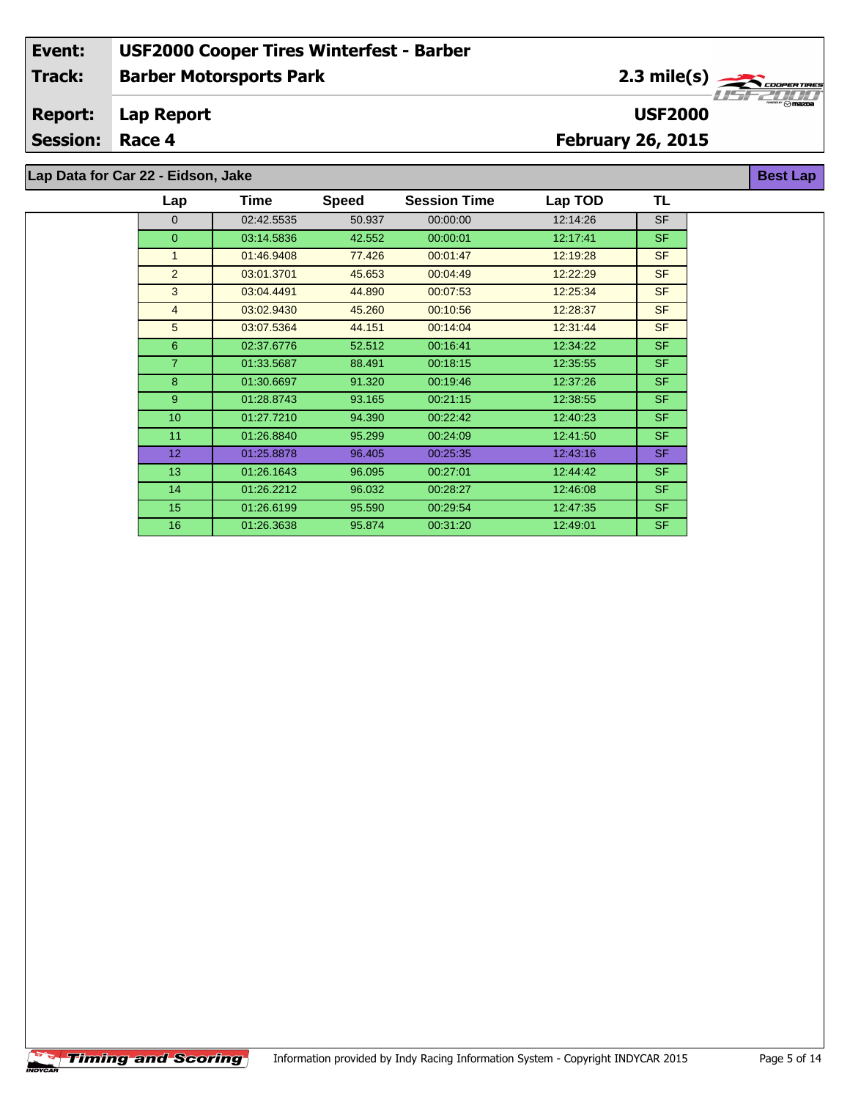2.3 mile(s)

**USF2000**

**Best Lap**

#### **Lap Report Report:**

**Session: Race 4**

## **February 26, 2015**

**Lap Data for Car 22 - Eidson, Jake**

| Lap             | Time       | <b>Speed</b> | <b>Session Time</b> | Lap TOD  | TL        |
|-----------------|------------|--------------|---------------------|----------|-----------|
| $\Omega$        | 02:42.5535 | 50.937       | 00:00:00            | 12:14:26 | <b>SF</b> |
| $\overline{0}$  | 03:14.5836 | 42.552       | 00:00:01            | 12:17:41 | SF.       |
| $\mathbf{1}$    | 01:46.9408 | 77.426       | 00:01:47            | 12:19:28 | <b>SF</b> |
| 2               | 03:01.3701 | 45.653       | 00:04:49            | 12:22:29 | <b>SF</b> |
| 3               | 03:04.4491 | 44.890       | 00:07:53            | 12:25:34 | <b>SF</b> |
| $\overline{4}$  | 03:02.9430 | 45.260       | 00:10:56            | 12:28:37 | <b>SF</b> |
| 5               | 03:07.5364 | 44.151       | 00:14:04            | 12:31:44 | <b>SF</b> |
| 6               | 02:37.6776 | 52.512       | 00:16:41            | 12:34:22 | SF.       |
| $\overline{7}$  | 01:33.5687 | 88.491       | 00:18:15            | 12:35:55 | SF.       |
| 8               | 01:30.6697 | 91.320       | 00:19:46            | 12:37:26 | SF.       |
| 9               | 01:28.8743 | 93.165       | 00:21:15            | 12:38:55 | SF.       |
| 10              | 01:27.7210 | 94.390       | 00:22:42            | 12:40:23 | SF.       |
| 11              | 01:26.8840 | 95.299       | 00:24:09            | 12:41:50 | SF.       |
| 12 <sup>2</sup> | 01:25.8878 | 96.405       | 00:25:35            | 12:43:16 | SF.       |
| 13              | 01:26.1643 | 96.095       | 00:27:01            | 12:44:42 | SF.       |
| 14              | 01:26.2212 | 96.032       | 00:28:27            | 12:46:08 | SF.       |
| 15              | 01:26.6199 | 95.590       | 00:29:54            | 12:47:35 | SF.       |
| 16              | 01:26.3638 | 95.874       | 00:31:20            | 12:49:01 | SF.       |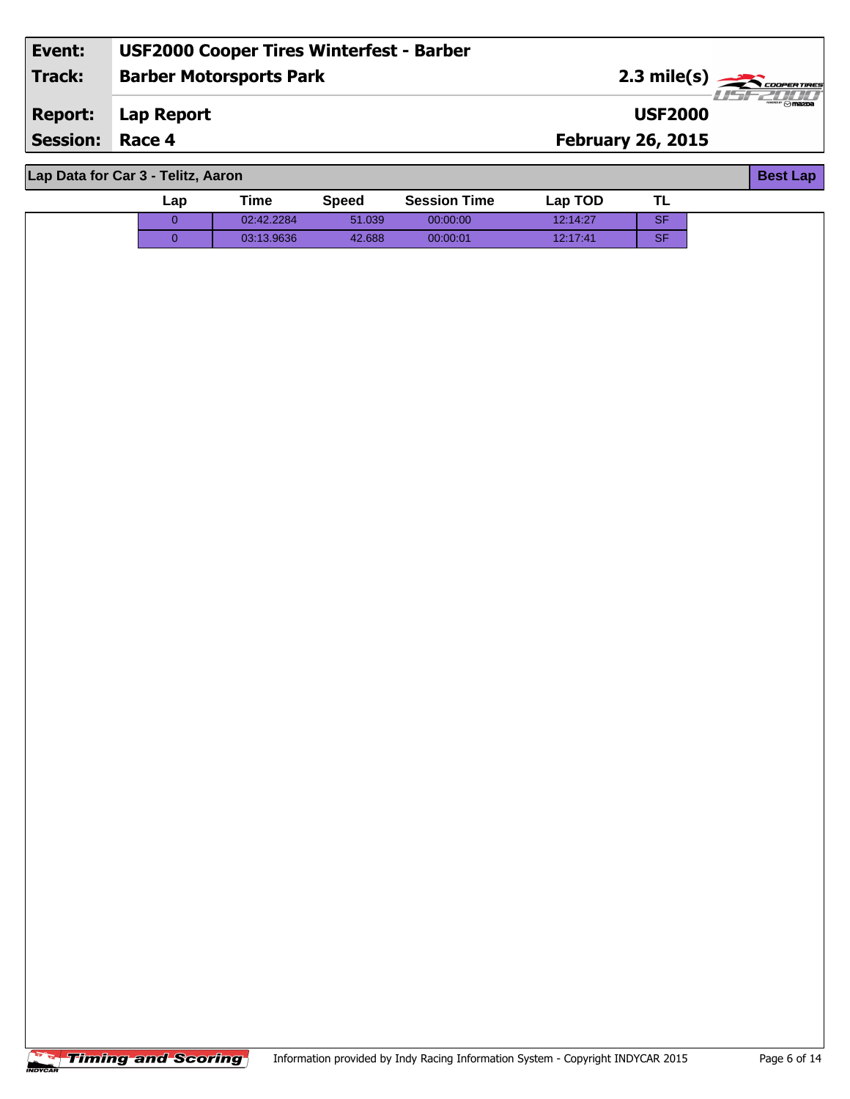| Event:          | <b>USF2000 Cooper Tires Winterfest - Barber</b> |                          |           |
|-----------------|-------------------------------------------------|--------------------------|-----------|
| Track:          | <b>Barber Motorsports Park</b>                  | 2.3 mile(s)              |           |
| <b>Report:</b>  | Lap Report                                      | <b>USF2000</b>           | ®" ⊙mazna |
| <b>Session:</b> | Race 4                                          | <b>February 26, 2015</b> |           |
|                 |                                                 |                          |           |

**Lap Data for Car 3 - Telitz, Aaron**

| Lap Data for Car 3 - Telltz, Aaron<br><b>Best Lap</b> |             |             |              |                     |          |           |  |  |
|-------------------------------------------------------|-------------|-------------|--------------|---------------------|----------|-----------|--|--|
|                                                       | Lap         | <b>Time</b> | <b>Speed</b> | <b>Session Time</b> | Lap TOD  | <b>TL</b> |  |  |
|                                                       | $\mathbf 0$ | 02:42.2284  | 51.039       | 00:00:00            | 12:14:27 | SF        |  |  |
|                                                       | $\mathbf 0$ | 03:13.9636  | 42.688       | 00:00:01            | 12:17:41 | SF        |  |  |
|                                                       |             |             |              |                     |          |           |  |  |
|                                                       |             |             |              |                     |          |           |  |  |
|                                                       |             |             |              |                     |          |           |  |  |
|                                                       |             |             |              |                     |          |           |  |  |
|                                                       |             |             |              |                     |          |           |  |  |
|                                                       |             |             |              |                     |          |           |  |  |
|                                                       |             |             |              |                     |          |           |  |  |
|                                                       |             |             |              |                     |          |           |  |  |
|                                                       |             |             |              |                     |          |           |  |  |
|                                                       |             |             |              |                     |          |           |  |  |
|                                                       |             |             |              |                     |          |           |  |  |
|                                                       |             |             |              |                     |          |           |  |  |
|                                                       |             |             |              |                     |          |           |  |  |
|                                                       |             |             |              |                     |          |           |  |  |
|                                                       |             |             |              |                     |          |           |  |  |
|                                                       |             |             |              |                     |          |           |  |  |
|                                                       |             |             |              |                     |          |           |  |  |
|                                                       |             |             |              |                     |          |           |  |  |
|                                                       |             |             |              |                     |          |           |  |  |
|                                                       |             |             |              |                     |          |           |  |  |
|                                                       |             |             |              |                     |          |           |  |  |
|                                                       |             |             |              |                     |          |           |  |  |

**Best Lap**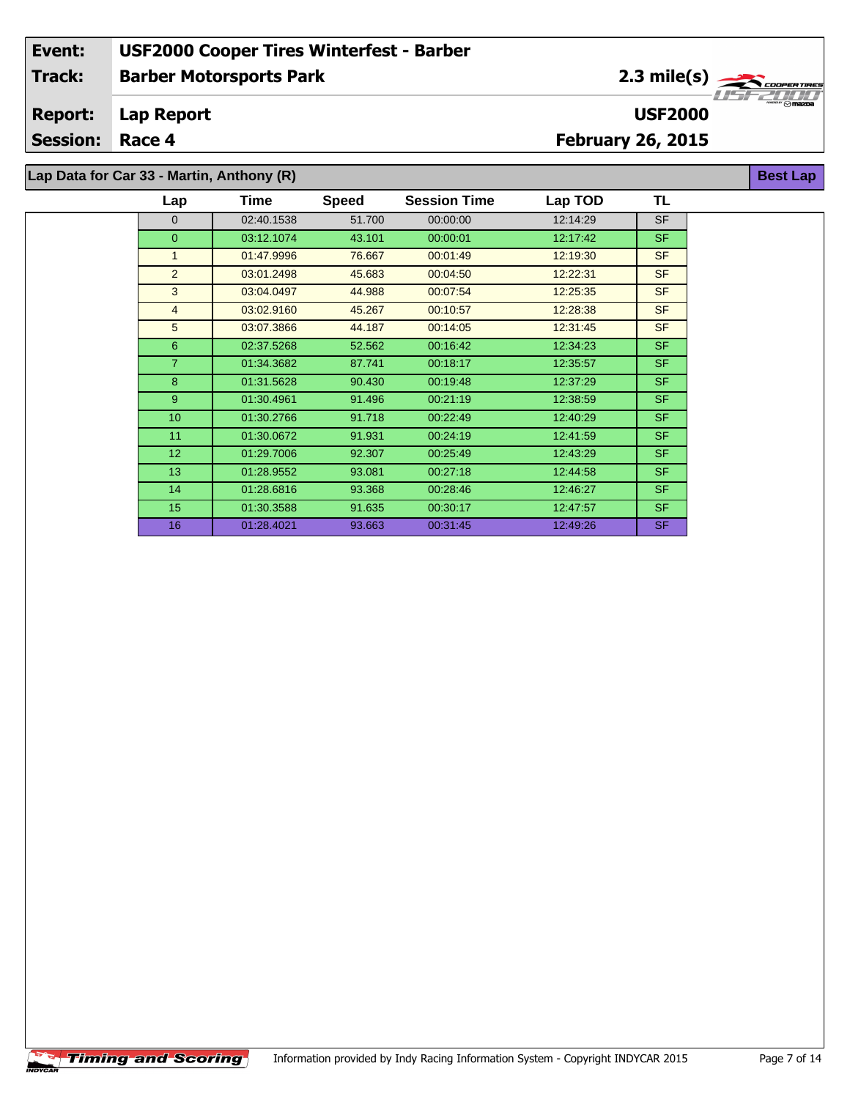2.3 mile(s)

**USF2000**

**Best Lap**

**Lap Report Report:**

**Session: Race 4**

**February 26, 2015**

**Lap Data for Car 33 - Martin, Anthony (R)**

| Lap            | Time       | <b>Speed</b> | <b>Session Time</b> | Lap TOD  | TL        |
|----------------|------------|--------------|---------------------|----------|-----------|
| $\overline{0}$ | 02:40.1538 | 51.700       | 00:00:00            | 12:14:29 | <b>SF</b> |
| $\Omega$       | 03:12.1074 | 43.101       | 00:00:01            | 12:17:42 | <b>SF</b> |
| $\mathbf{1}$   | 01:47.9996 | 76.667       | 00:01:49            | 12:19:30 | <b>SF</b> |
| 2              | 03:01.2498 | 45.683       | 00:04:50            | 12:22:31 | <b>SF</b> |
| 3              | 03:04.0497 | 44.988       | 00:07:54            | 12:25:35 | <b>SF</b> |
| $\overline{4}$ | 03:02.9160 | 45.267       | 00:10:57            | 12:28:38 | <b>SF</b> |
| 5              | 03:07.3866 | 44.187       | 00:14:05            | 12:31:45 | <b>SF</b> |
| 6              | 02:37.5268 | 52.562       | 00:16:42            | 12:34:23 | <b>SF</b> |
| $\overline{7}$ | 01:34.3682 | 87.741       | 00:18:17            | 12:35:57 | <b>SF</b> |
| 8              | 01:31.5628 | 90.430       | 00:19:48            | 12:37:29 | <b>SF</b> |
| 9              | 01:30.4961 | 91.496       | 00:21:19            | 12:38:59 | <b>SF</b> |
| 10             | 01:30.2766 | 91.718       | 00:22:49            | 12:40:29 | <b>SF</b> |
| 11             | 01:30.0672 | 91.931       | 00:24:19            | 12:41:59 | <b>SF</b> |
| 12             | 01:29.7006 | 92.307       | 00:25:49            | 12:43:29 | <b>SF</b> |
| 13             | 01:28.9552 | 93.081       | 00:27:18            | 12:44:58 | <b>SF</b> |
| 14             | 01:28.6816 | 93.368       | 00:28:46            | 12:46:27 | <b>SF</b> |
| 15             | 01:30.3588 | 91.635       | 00:30:17            | 12:47:57 | <b>SF</b> |
| 16             | 01:28.4021 | 93.663       | 00:31:45            | 12:49:26 | <b>SF</b> |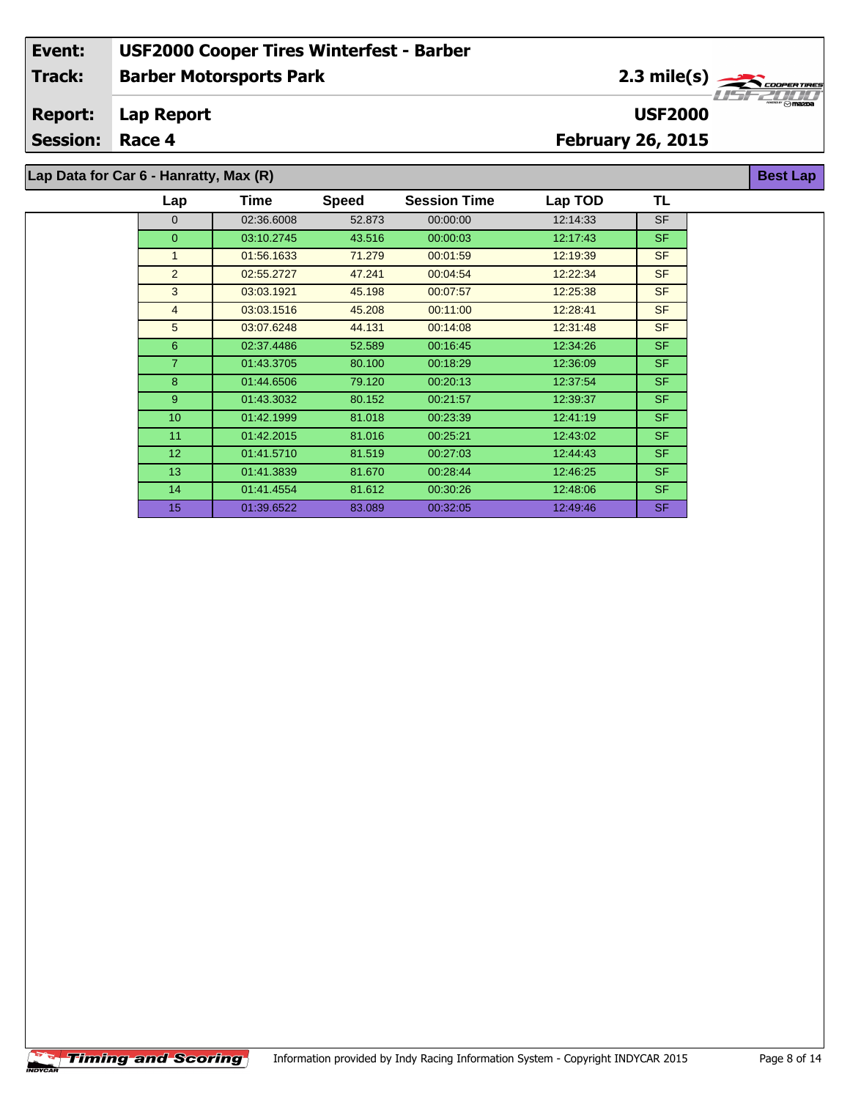2.3 mile(s)

**USF2000**

**Best Lap**

#### **Lap Report Report:**

**Session: Race 4**

## **February 26, 2015**

**Lap Data for Car 6 - Hanratty, Max (R)**

| Lap              | Time       | <b>Speed</b> | <b>Session Time</b> | Lap TOD  | TL        |
|------------------|------------|--------------|---------------------|----------|-----------|
| $\mathbf{0}$     | 02:36.6008 | 52.873       | 00:00:00            | 12:14:33 | <b>SF</b> |
| $\overline{0}$   | 03:10.2745 | 43.516       | 00:00:03            | 12:17:43 | <b>SF</b> |
| $\mathbf{1}$     | 01:56.1633 | 71.279       | 00:01:59            | 12:19:39 | <b>SF</b> |
| 2                | 02:55.2727 | 47.241       | 00:04:54            | 12:22:34 | <b>SF</b> |
| 3                | 03:03.1921 | 45.198       | 00:07:57            | 12:25:38 | <b>SF</b> |
| $\overline{4}$   | 03:03.1516 | 45.208       | 00:11:00            | 12:28:41 | <b>SF</b> |
| 5                | 03:07.6248 | 44.131       | 00:14:08            | 12:31:48 | <b>SF</b> |
| 6                | 02:37.4486 | 52.589       | 00:16:45            | 12:34:26 | <b>SF</b> |
| $\overline{7}$   | 01:43.3705 | 80.100       | 00:18:29            | 12:36:09 | <b>SF</b> |
| 8                | 01:44.6506 | 79.120       | 00:20:13            | 12:37:54 | <b>SF</b> |
| 9                | 01:43.3032 | 80.152       | 00:21:57            | 12:39:37 | <b>SF</b> |
| 10 <sup>10</sup> | 01:42.1999 | 81.018       | 00:23:39            | 12:41:19 | <b>SF</b> |
| 11               | 01:42.2015 | 81.016       | 00:25:21            | 12:43:02 | <b>SF</b> |
| 12 <sup>°</sup>  | 01:41.5710 | 81.519       | 00:27:03            | 12:44:43 | <b>SF</b> |
| 13               | 01:41.3839 | 81.670       | 00:28:44            | 12:46:25 | <b>SF</b> |
| 14               | 01:41.4554 | 81.612       | 00:30:26            | 12:48:06 | <b>SF</b> |
| 15               | 01:39.6522 | 83.089       | 00:32:05            | 12:49:46 | <b>SF</b> |

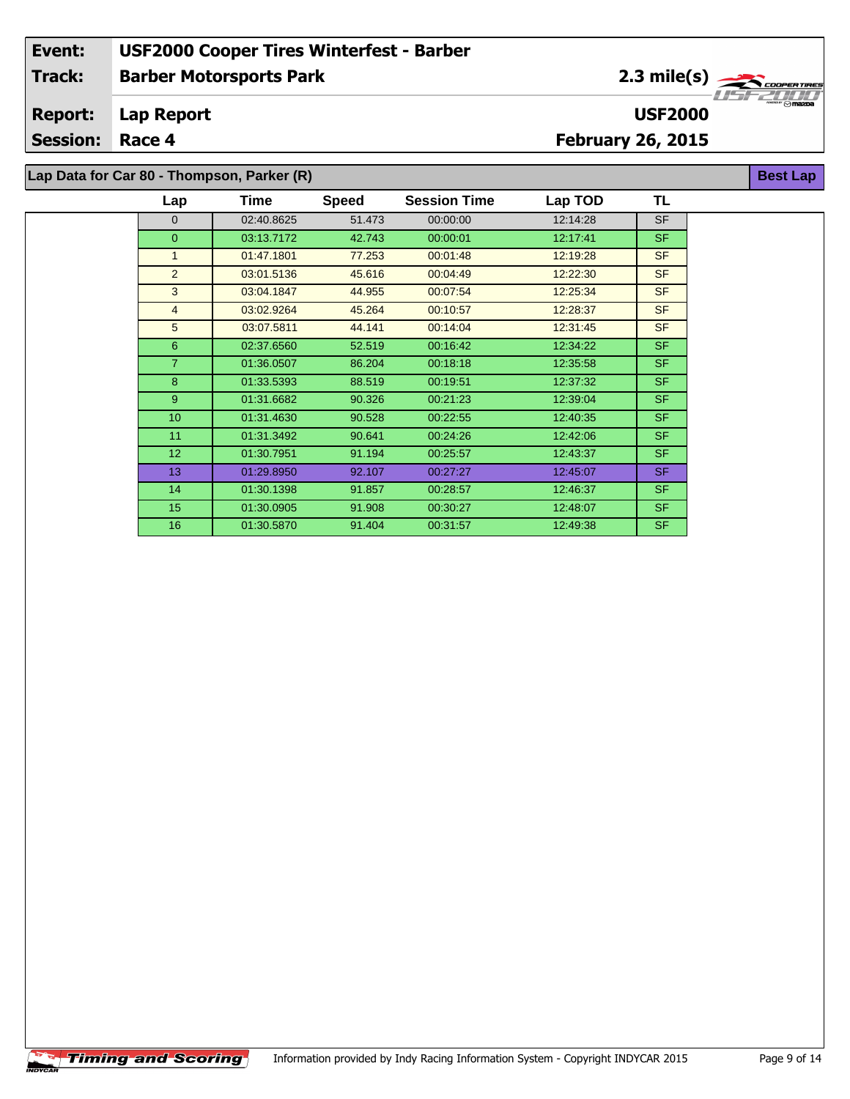2.3 mile(s)

**USF2000**

**Best Lap**

**Lap Report Report:**

**Session: Race 4**

**February 26, 2015**

**Lap Data for Car 80 - Thompson, Parker (R)**

| Lap            | Time       | <b>Speed</b> | <b>Session Time</b> | Lap TOD  | TL        |
|----------------|------------|--------------|---------------------|----------|-----------|
| $\Omega$       | 02:40.8625 | 51.473       | 00:00:00            | 12:14:28 | <b>SF</b> |
| $\Omega$       | 03:13.7172 | 42.743       | 00:00:01            | 12:17:41 | <b>SF</b> |
| $\mathbf{1}$   | 01:47.1801 | 77.253       | 00:01:48            | 12:19:28 | <b>SF</b> |
| $\overline{2}$ | 03:01.5136 | 45.616       | 00:04:49            | 12:22:30 | <b>SF</b> |
| 3              | 03:04.1847 | 44.955       | 00:07:54            | 12:25:34 | <b>SF</b> |
| $\overline{4}$ | 03:02.9264 | 45.264       | 00:10:57            | 12:28:37 | <b>SF</b> |
| 5              | 03:07.5811 | 44.141       | 00:14:04            | 12:31:45 | <b>SF</b> |
| 6              | 02:37.6560 | 52.519       | 00:16:42            | 12:34:22 | <b>SF</b> |
| $\overline{7}$ | 01:36.0507 | 86.204       | 00:18:18            | 12:35:58 | <b>SF</b> |
| 8              | 01:33.5393 | 88.519       | 00:19:51            | 12:37:32 | <b>SF</b> |
| 9              | 01:31.6682 | 90.326       | 00:21:23            | 12:39:04 | <b>SF</b> |
| 10             | 01:31.4630 | 90.528       | 00:22:55            | 12:40:35 | <b>SF</b> |
| 11             | 01:31.3492 | 90.641       | 00:24:26            | 12:42:06 | <b>SF</b> |
| 12             | 01:30.7951 | 91.194       | 00:25:57            | 12:43:37 | <b>SF</b> |
| 13             | 01:29.8950 | 92.107       | 00:27:27            | 12:45:07 | <b>SF</b> |
| 14             | 01:30.1398 | 91.857       | 00:28:57            | 12:46:37 | <b>SF</b> |
| 15             | 01:30.0905 | 91.908       | 00:30:27            | 12:48:07 | <b>SF</b> |
| 16             | 01:30.5870 | 91.404       | 00:31:57            | 12:49:38 | <b>SF</b> |

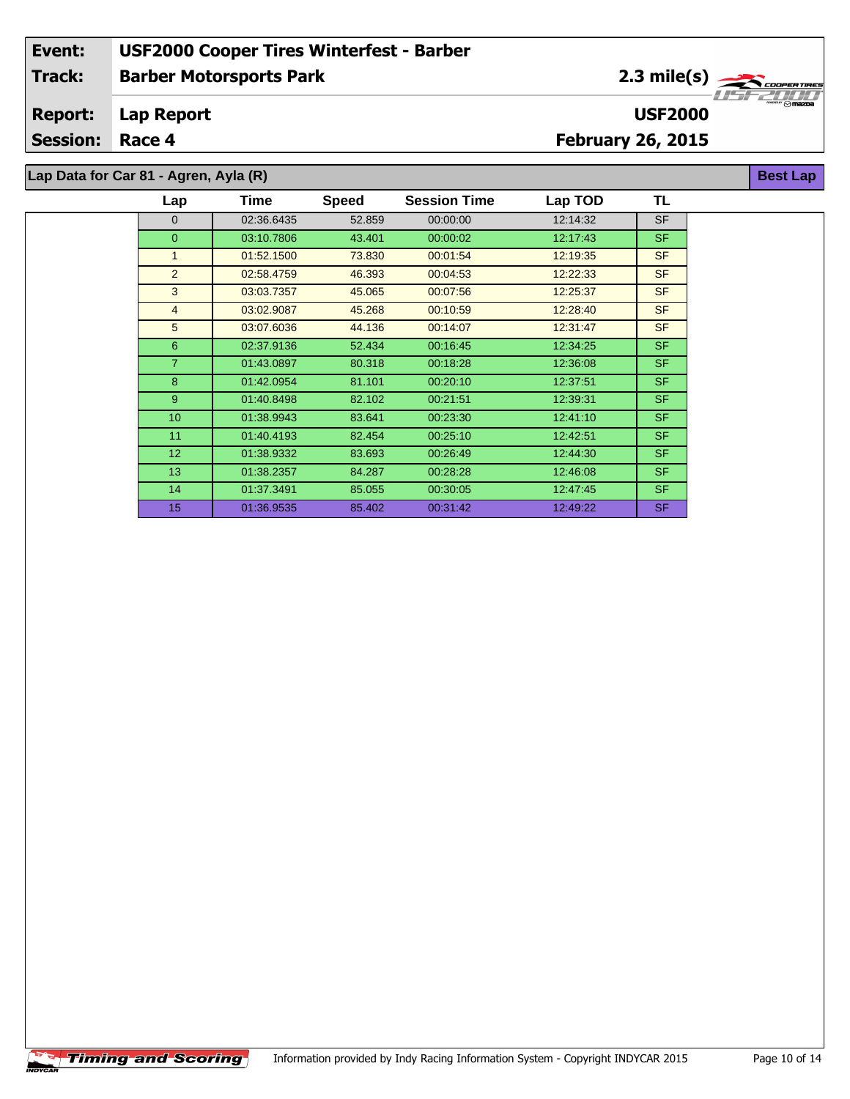2.3 mile(s)

**USF2000**

**Best Lap**

#### **Lap Report Report:**

**Session: Race 4**

## **February 26, 2015**

**Lap Data for Car 81 - Agren, Ayla (R)**

| Lap              | Time       | <b>Speed</b> | <b>Session Time</b> | Lap TOD  | TL        |
|------------------|------------|--------------|---------------------|----------|-----------|
| 0                | 02:36.6435 | 52.859       | 00:00:00            | 12:14:32 | <b>SF</b> |
| 0                | 03:10.7806 | 43.401       | 00:00:02            | 12:17:43 | <b>SF</b> |
| $\mathbf{1}$     | 01:52.1500 | 73.830       | 00:01:54            | 12:19:35 | <b>SF</b> |
| 2                | 02:58.4759 | 46.393       | 00:04:53            | 12:22:33 | <b>SF</b> |
| 3                | 03:03.7357 | 45.065       | 00:07:56            | 12:25:37 | <b>SF</b> |
| $\overline{4}$   | 03:02.9087 | 45.268       | 00:10:59            | 12:28:40 | <b>SF</b> |
| 5                | 03:07.6036 | 44.136       | 00:14:07            | 12:31:47 | <b>SF</b> |
| 6                | 02:37.9136 | 52.434       | 00:16:45            | 12:34:25 | SF.       |
| $\overline{7}$   | 01:43.0897 | 80.318       | 00:18:28            | 12:36:08 | <b>SF</b> |
| 8                | 01:42.0954 | 81.101       | 00:20:10            | 12:37:51 | SF.       |
| 9                | 01:40.8498 | 82.102       | 00:21:51            | 12:39:31 | <b>SF</b> |
| 10 <sup>10</sup> | 01:38.9943 | 83.641       | 00:23:30            | 12:41:10 | SF.       |
| 11               | 01:40.4193 | 82.454       | 00:25:10            | 12:42:51 | <b>SF</b> |
| 12 <sup>°</sup>  | 01:38.9332 | 83.693       | 00:26:49            | 12:44:30 | <b>SF</b> |
| 13 <sup>°</sup>  | 01:38.2357 | 84.287       | 00:28:28            | 12:46:08 | SF.       |
| 14               | 01:37.3491 | 85.055       | 00:30:05            | 12:47:45 | SF.       |
| 15               | 01:36.9535 | 85.402       | 00:31:42            | 12:49:22 | <b>SF</b> |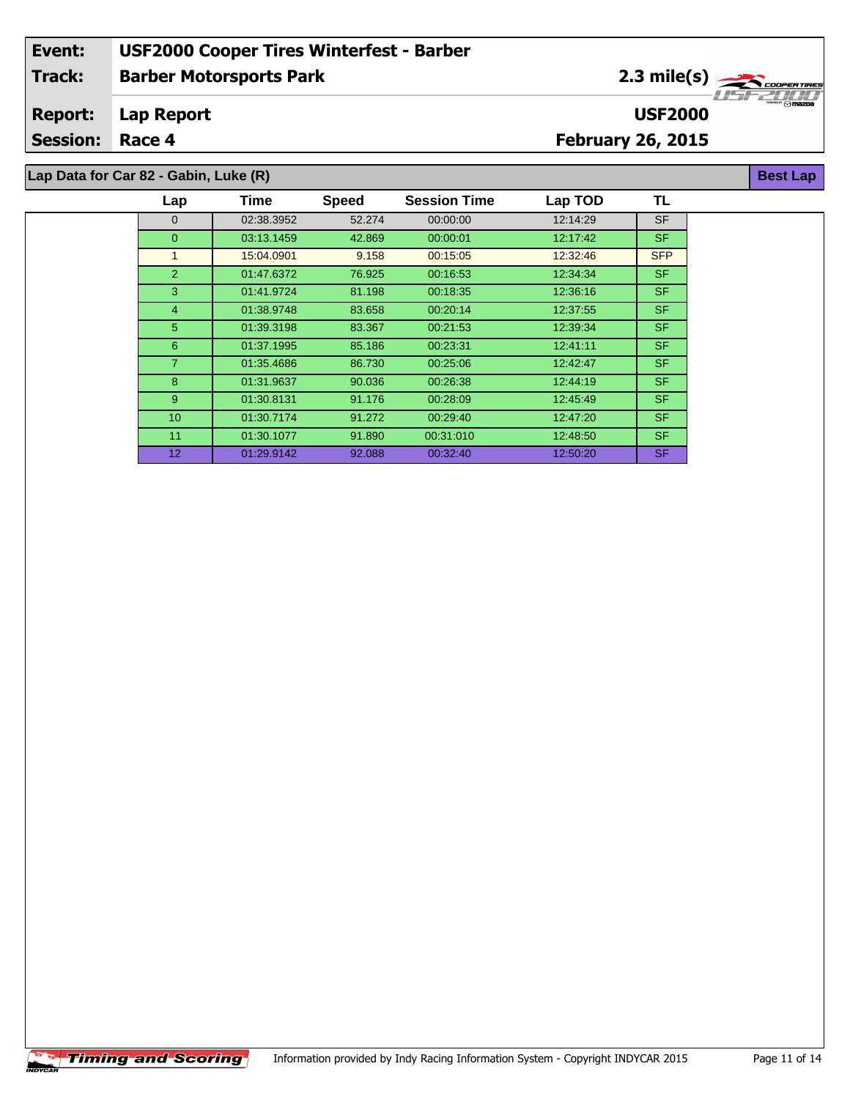2.3 mile(s)

**USF2000**

**Best Lap**

#### **Lap Report Report:**

**Session: Race 4**

## **February 26, 2015**

**Lap Data for Car 82 - Gabin, Luke (R)**

| Lap             | <b>Time</b> | <b>Speed</b> | <b>Session Time</b> | Lap TOD  | TL         |  |
|-----------------|-------------|--------------|---------------------|----------|------------|--|
| $\Omega$        | 02:38.3952  | 52.274       | 00:00:00            | 12:14:29 | <b>SF</b>  |  |
| $\Omega$        | 03:13.1459  | 42.869       | 00:00:01            | 12:17:42 | <b>SF</b>  |  |
| 1               | 15:04.0901  | 9.158        | 00:15:05            | 12:32:46 | <b>SFP</b> |  |
| $\overline{2}$  | 01:47.6372  | 76.925       | 00:16:53            | 12:34:34 | <b>SF</b>  |  |
| 3               | 01:41.9724  | 81.198       | 00:18:35            | 12:36:16 | <b>SF</b>  |  |
| $\overline{4}$  | 01:38.9748  | 83.658       | 00:20:14            | 12:37:55 | <b>SF</b>  |  |
| 5               | 01:39.3198  | 83.367       | 00:21:53            | 12:39:34 | <b>SF</b>  |  |
| 6               | 01:37.1995  | 85.186       | 00:23:31            | 12:41:11 | <b>SF</b>  |  |
| $\overline{7}$  | 01:35.4686  | 86.730       | 00:25:06            | 12:42:47 | SF.        |  |
| 8               | 01:31.9637  | 90.036       | 00:26:38            | 12:44:19 | <b>SF</b>  |  |
| 9               | 01:30.8131  | 91.176       | 00:28:09            | 12:45:49 | <b>SF</b>  |  |
| 10              | 01:30.7174  | 91.272       | 00:29:40            | 12:47:20 | <b>SF</b>  |  |
| 11              | 01:30.1077  | 91.890       | 00:31:010           | 12:48:50 | <b>SF</b>  |  |
| 12 <sup>2</sup> | 01:29.9142  | 92.088       | 00:32:40            | 12:50:20 | <b>SF</b>  |  |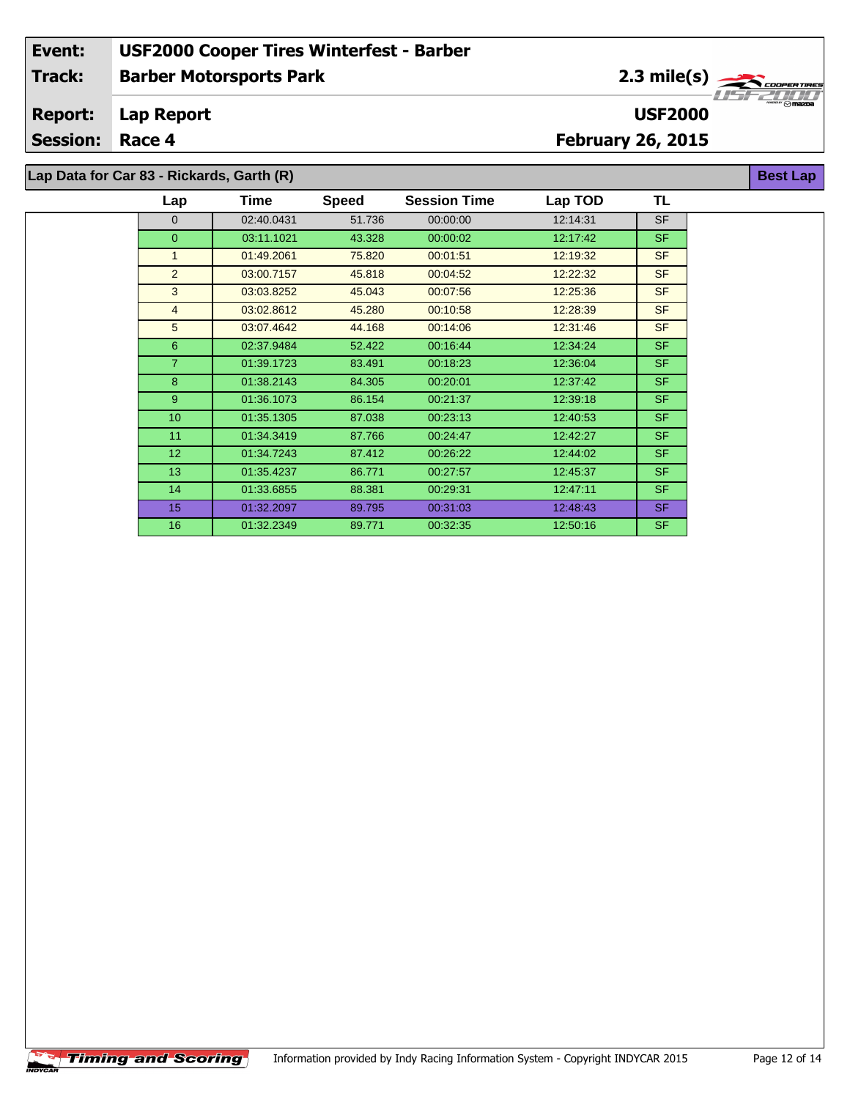#### **Lap Report Report:**

**Session: Race 4**

# **February 26, 2015**

**Lap Data for Car 83 - Rickards, Garth (R)**

| Lap             | Time       | <b>Speed</b> | <b>Session Time</b> | Lap TOD  | TL        |
|-----------------|------------|--------------|---------------------|----------|-----------|
| $\Omega$        | 02:40.0431 | 51.736       | 00:00:00            | 12:14:31 | <b>SF</b> |
| $\overline{0}$  | 03:11.1021 | 43.328       | 00:00:02            | 12:17:42 | <b>SF</b> |
| $\mathbf{1}$    | 01:49.2061 | 75.820       | 00:01:51            | 12:19:32 | <b>SF</b> |
| $\overline{2}$  | 03:00.7157 | 45.818       | 00:04:52            | 12:22:32 | <b>SF</b> |
| 3               | 03:03.8252 | 45.043       | 00:07:56            | 12:25:36 | <b>SF</b> |
| $\overline{4}$  | 03:02.8612 | 45.280       | 00:10:58            | 12:28:39 | <b>SF</b> |
| 5               | 03:07.4642 | 44.168       | 00:14:06            | 12:31:46 | <b>SF</b> |
| 6               | 02:37.9484 | 52.422       | 00:16:44            | 12:34:24 | <b>SF</b> |
| $\overline{7}$  | 01:39.1723 | 83.491       | 00:18:23            | 12:36:04 | <b>SF</b> |
| 8               | 01:38.2143 | 84.305       | 00:20:01            | 12:37:42 | <b>SF</b> |
| 9               | 01:36.1073 | 86.154       | 00:21:37            | 12:39:18 | <b>SF</b> |
| 10 <sup>1</sup> | 01:35.1305 | 87.038       | 00:23:13            | 12:40:53 | <b>SF</b> |
| 11              | 01:34.3419 | 87.766       | 00:24:47            | 12:42:27 | <b>SF</b> |
| 12 <sup>2</sup> | 01:34.7243 | 87.412       | 00:26:22            | 12:44:02 | <b>SF</b> |
| 13              | 01:35.4237 | 86.771       | 00:27:57            | 12:45:37 | <b>SF</b> |
| 14              | 01:33.6855 | 88.381       | 00:29:31            | 12:47:11 | <b>SF</b> |
| 15              | 01:32.2097 | 89.795       | 00:31:03            | 12:48:43 | <b>SF</b> |
| 16              | 01:32.2349 | 89.771       | 00:32:35            | 12:50:16 | <b>SF</b> |



**Best Lap**

**USF2000**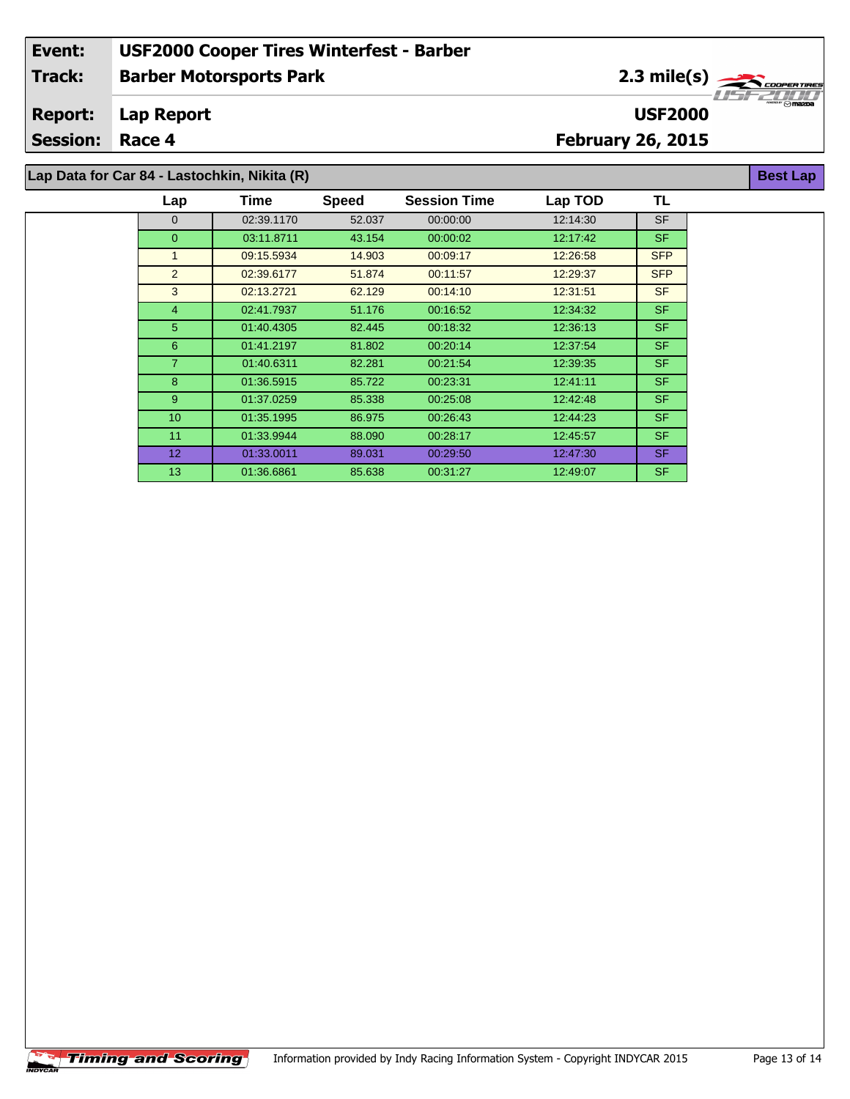2.3 mile(s)

**USF2000**

**Best Lap**

#### **Lap Report Report:**

**Session: Race 4**

## **February 26, 2015**

**Lap Data for Car 84 - Lastochkin, Nikita (R)**

| Lap             | Time       | <b>Speed</b> | <b>Session Time</b> | Lap TOD  | TL         |
|-----------------|------------|--------------|---------------------|----------|------------|
| $\Omega$        | 02:39.1170 | 52.037       | 00:00:00            | 12:14:30 | <b>SF</b>  |
| $\overline{0}$  | 03:11.8711 | 43.154       | 00:00:02            | 12:17:42 | <b>SF</b>  |
| 1               | 09:15.5934 | 14.903       | 00:09:17            | 12:26:58 | <b>SFP</b> |
| 2               | 02:39.6177 | 51.874       | 00:11:57            | 12:29:37 | <b>SFP</b> |
| 3               | 02:13.2721 | 62.129       | 00:14:10            | 12:31:51 | <b>SF</b>  |
| $\overline{4}$  | 02:41.7937 | 51.176       | 00:16:52            | 12:34:32 | <b>SF</b>  |
| 5               | 01:40.4305 | 82.445       | 00:18:32            | 12:36:13 | <b>SF</b>  |
| 6               | 01:41.2197 | 81.802       | 00:20:14            | 12:37:54 | <b>SF</b>  |
| $\overline{7}$  | 01:40.6311 | 82.281       | 00:21:54            | 12:39:35 | <b>SF</b>  |
| 8               | 01:36.5915 | 85.722       | 00:23:31            | 12:41:11 | <b>SF</b>  |
| 9               | 01:37.0259 | 85.338       | 00:25:08            | 12.42.48 | <b>SF</b>  |
| 10              | 01:35.1995 | 86.975       | 00:26:43            | 12:44:23 | <b>SF</b>  |
| 11              | 01:33.9944 | 88.090       | 00:28:17            | 12:45:57 | <b>SF</b>  |
| 12 <sup>°</sup> | 01:33.0011 | 89.031       | 00:29:50            | 12:47:30 | <b>SF</b>  |
| 13              | 01:36.6861 | 85.638       | 00:31:27            | 12:49:07 | <b>SF</b>  |